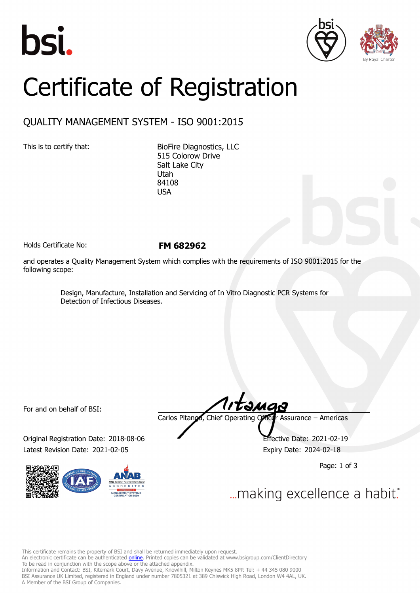





## Certificate of Registration

## QUALITY MANAGEMENT SYSTEM - ISO 9001:2015

This is to certify that: BioFire Diagnostics, LLC 515 Colorow Drive Salt Lake City Utah 84108 USA

Holds Certificate No: **FM 682962**

and operates a Quality Management System which complies with the requirements of ISO 9001:2015 for the following scope:

> Design, Manufacture, Installation and Servicing of In Vitro Diagnostic PCR Systems for Detection of Infectious Diseases.

For and on behalf of BSI:

Original Registration Date: 2018-08-06 Effective Date: 2021-02-19 Latest Revision Date: 2021-02-05 Expiry Date: 2024-02-18



Carlos Pitanga, Chief Operating Officer Assurance – Americas

Page: 1 of 3

... making excellence a habit."

This certificate remains the property of BSI and shall be returned immediately upon request.

An electronic certificate can be authenticated *[online](https://pgplus.bsigroup.com/CertificateValidation/CertificateValidator.aspx?CertificateNumber=FM+682962&ReIssueDate=05%2f02%2f2021&Template=inc)*. Printed copies can be validated at www.bsigroup.com/ClientDirectory To be read in conjunction with the scope above or the attached appendix.

Information and Contact: BSI, Kitemark Court, Davy Avenue, Knowlhill, Milton Keynes MK5 8PP. Tel: + 44 345 080 9000 BSI Assurance UK Limited, registered in England under number 7805321 at 389 Chiswick High Road, London W4 4AL, UK. A Member of the BSI Group of Companies.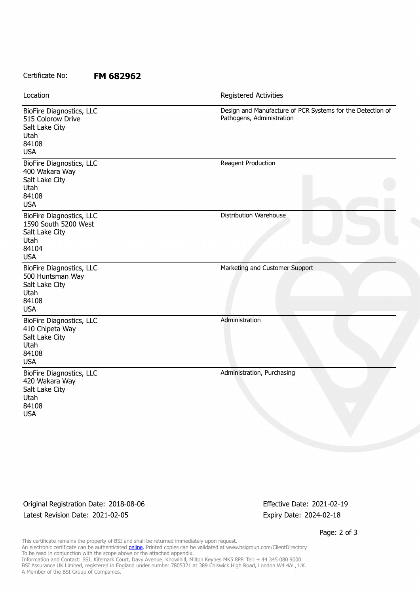## Certificate No: **FM 682962**

| Location                                                                                           | Registered Activities                                                                   |
|----------------------------------------------------------------------------------------------------|-----------------------------------------------------------------------------------------|
| BioFire Diagnostics, LLC<br>515 Colorow Drive<br>Salt Lake City<br>Utah<br>84108<br><b>USA</b>     | Design and Manufacture of PCR Systems for the Detection of<br>Pathogens, Administration |
| BioFire Diagnostics, LLC<br>400 Wakara Way<br>Salt Lake City<br>Utah<br>84108<br><b>USA</b>        | Reagent Production                                                                      |
| BioFire Diagnostics, LLC<br>1590 South 5200 West<br>Salt Lake City<br>Utah<br>84104<br><b>USA</b>  | <b>Distribution Warehouse</b>                                                           |
| BioFire Diagnostics, LLC<br>500 Huntsman Way<br>Salt Lake City<br>Utah<br>84108<br><b>USA</b>      | Marketing and Customer Support                                                          |
| BioFire Diagnostics, LLC<br>410 Chipeta Way<br>Salt Lake City<br>Utah<br>84108<br><b>USA</b>       | Administration                                                                          |
| <b>BioFire Diagnostics, LLC</b><br>420 Wakara Way<br>Salt Lake City<br>Utah<br>84108<br><b>USA</b> | Administration, Purchasing                                                              |

Original Registration Date: 2018-08-06 Effective Date: 2021-02-19 Latest Revision Date: 2021-02-05 Expiry Date: 2024-02-18

Page: 2 of 3

This certificate remains the property of BSI and shall be returned immediately upon request. An electronic certificate can be authenticated <u>[online](https://pgplus.bsigroup.com/CertificateValidation/CertificateValidator.aspx?CertificateNumber=FM+682962&ReIssueDate=05%2f02%2f2021&Template=inc)</u>. Printed copies can be validated at www.bsigroup.com/ClientDirectory To be read in conjunction with the scope above or the attached appendix. Information and Contact: BSI, Kitemark Court, Davy Avenue, Knowlhill, Milton Keynes MK5 8PP. Tel: + 44 345 080 9000 BSI Assurance UK Limited, registered in England under number 7805321 at 389 Chiswick High Road, London W4 4AL, UK. A Member of the BSI Group of Companies.